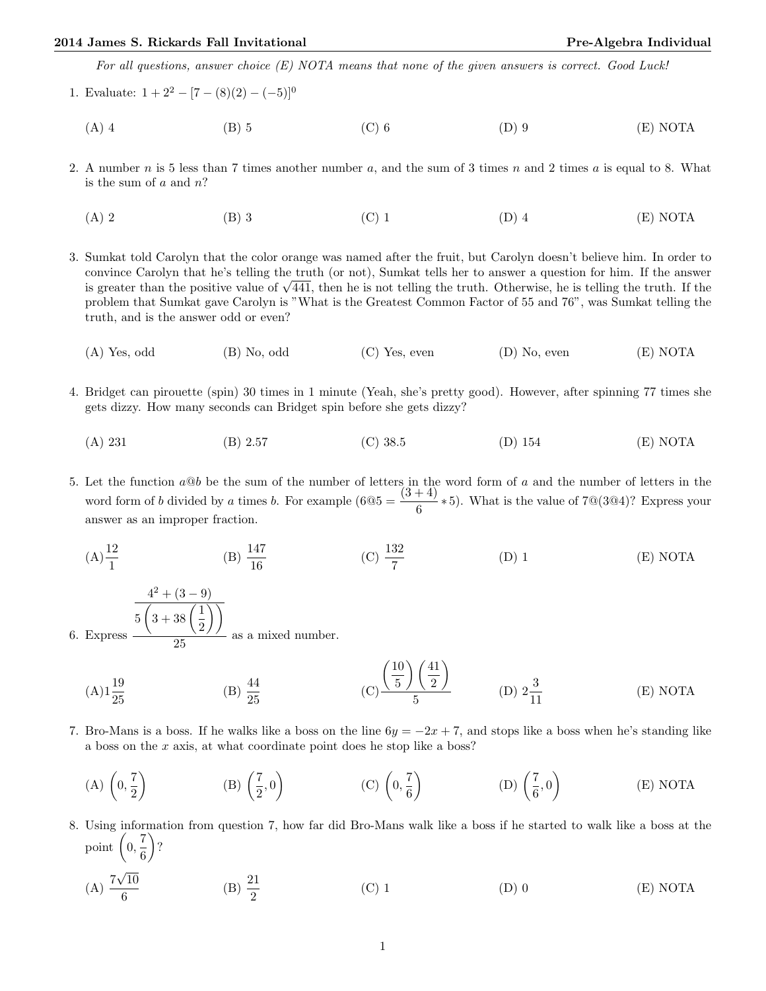For all questions, answer choice (E) NOTA means that none of the given answers is correct. Good Luck!

- 1. Evaluate:  $1 + 2^2 [7 (8)(2) (-5)]^0$ 
	- (A) 4 (B) 5 (C) 6 (D) 9 (E) NOTA
- 2. A number n is 5 less than 7 times another number a, and the sum of 3 times n and 2 times a is equal to 8. What is the sum of  $a$  and  $n$ ?
	- (A) 2 (B) 3 (C) 1 (D) 4 (E) NOTA
- 3. Sumkat told Carolyn that the color orange was named after the fruit, but Carolyn doesn't believe him. In order to convince Carolyn that he's telling the truth (or not), Sumkat tells her to answer a question for him. If the answer convince Carolyn that he s telling the truth (or not), Sumkat tells her to answer a question for him. If the answer<br>is greater than the positive value of  $\sqrt{441}$ , then he is not telling the truth. Otherwise, he is telli problem that Sumkat gave Carolyn is "What is the Greatest Common Factor of 55 and 76", was Sumkat telling the truth, and is the answer odd or even?
	- (A) Yes, odd (B) No, odd (C) Yes, even (D) No, even (E) NOTA
- 4. Bridget can pirouette (spin) 30 times in 1 minute (Yeah, she's pretty good). However, after spinning 77 times she gets dizzy. How many seconds can Bridget spin before she gets dizzy?
	- (A) 231 (B) 2.57 (C) 38.5 (D) 154 (E) NOTA

5. Let the function  $a@b$  be the sum of the number of letters in the word form of a and the number of letters in the word form of b divided by a times b. For example  $(6@5 = \frac{(3+4)}{6} * 5)$ . What is the value of 7@(3@4)? Express your answer as an improper fraction.

 $(A) \frac{12}{1}$  $(B) \frac{147}{16}$  $(C) \frac{132}{7}$ (D) 1 (E) NOTA

6. Express  $4^2 + (3 - 9)$  $5\left(3+38\right)\left(\frac{1}{2}\right)$ 2  $\setminus$ 25 as a mixed number.

- $(A)1\frac{19}{25}$ (B)  $\frac{44}{25}$ (C)  $(10$ 5  $\setminus$  (41) 2  $\setminus$  $\frac{2}{5}$  (D)  $2\frac{3}{11}$ (E) NOTA
- 7. Bro-Mans is a boss. If he walks like a boss on the line  $6y = -2x + 7$ , and stops like a boss when he's standing like a boss on the x axis, at what coordinate point does he stop like a boss?
	- (A)  $\left(0, \frac{7}{2}\right)$ 2  $\setminus$  $(B)$  $\left(\frac{7}{8}\right)$  $\left( \frac{7}{2}, 0 \right)$  (C)  $\left( 0, \frac{7}{6} \right)$ 6  $\begin{pmatrix} D \end{pmatrix} \begin{pmatrix} \frac{7}{6} \end{pmatrix}$  $\left(\frac{7}{6}, 0\right)$ (E) NOTA
- 8. Using information from question 7, how far did Bro-Mans walk like a boss if he started to walk like a boss at the point  $\left(0, \frac{7}{6}\right)$ 6  $\Big)$ ?
	- $(A)$ <sup>7</sup> √ 10 6 (B)  $\frac{21}{2}$ (C) 1  $(D) 0$   $(E) NOTA$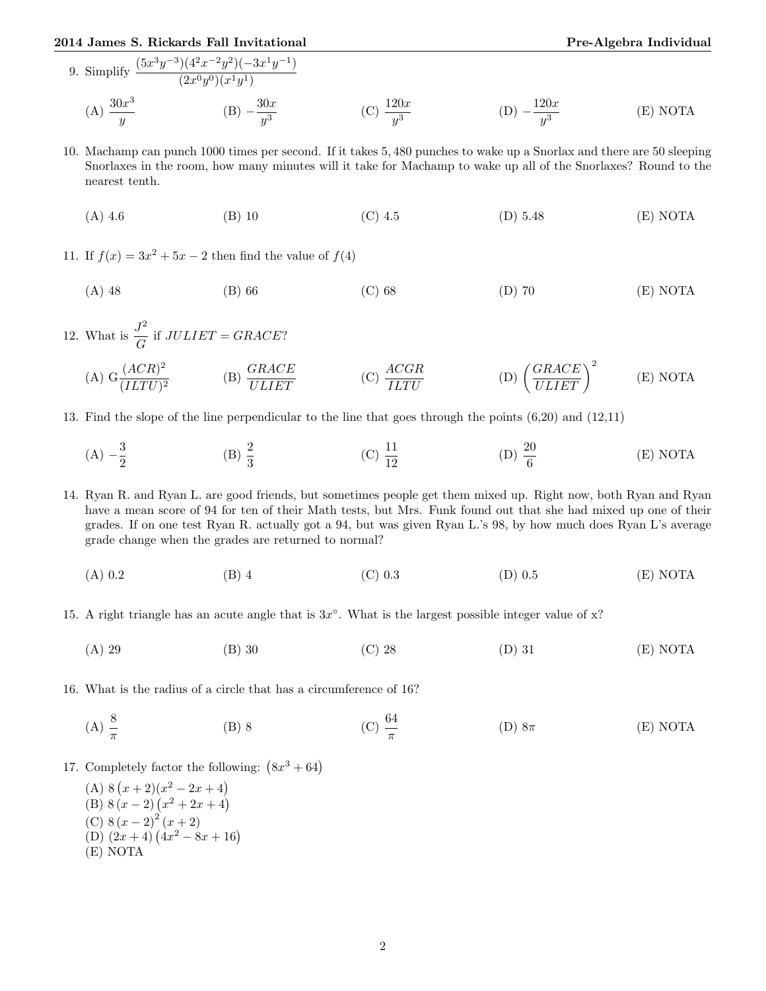## 2014 James S. Rickards Fall Invitational Pre-Algebra Individual

- 9. Simplify  $\frac{(5x^3y^{-3})(4^2x^{-2}y^2)(-3x^1y^{-1})}{(2x^2+y^2)(-3x^1y^{-1})}$  $(2x^0y^0)(x^1y^1)$  $(A) \frac{30x^3}{2}$  $\hat{y}$  $(B) -\frac{30x}{3}$  $y^3$ (C)  $\frac{120x}{y^3}$  $(D) - \frac{120x}{3}$  $y^3$ (E) NOTA
- 10. Machamp can punch 1000 times per second. If it takes 5, 480 punches to wake up a Snorlax and there are 50 sleeping Snorlaxes in the room, how many minutes will it take for Machamp to wake up all of the Snorlaxes? Round to the nearest tenth.

(A) 4.6 (B) 10 (C) 4.5 (D) 5.48 (E) NOTA

11. If  $f(x) = 3x^2 + 5x - 2$  then find the value of  $f(4)$ 

(A) 48 (B) 66 (C) 68 (D) 70 (E) NOTA

12. What is  $\frac{J^2}{\sqrt{a}}$  $\frac{\partial}{\partial G}$  if  $JULIET = GRACE$ ?

(A) 
$$
G \frac{(ACR)^2}{(ILTU)^2}
$$
 \t(B)  $\frac{GRACE}{ULIET}$  \t(C)  $\frac{ACGR}{ILTU}$  \t(D)  $\left(\frac{GRACE}{ULIET}\right)^2$  \t(E) NOTA

- 13. Find the slope of the line perpendicular to the line that goes through the points (6,20) and (12,11)
	- $(A) \frac{3}{2}$ 2 (B)  $\frac{2}{3}$ (C)  $\frac{11}{12}$ (D)  $\frac{20}{6}$ (E) NOTA

14. Ryan R. and Ryan L. are good friends, but sometimes people get them mixed up. Right now, both Ryan and Ryan have a mean score of 94 for ten of their Math tests, but Mrs. Funk found out that she had mixed up one of their grades. If on one test Ryan R. actually got a 94, but was given Ryan L.'s 98, by how much does Ryan L's average grade change when the grades are returned to normal?

- (A) 0.2 (B) 4 (C) 0.3 (D) 0.5 (E) NOTA
- 15. A right triangle has an acute angle that is  $3x^{\circ}$ . What is the largest possible integer value of x?
	- (A) 29 (B) 30 (C) 28 (D) 31 (E) NOTA
- 16. What is the radius of a circle that has a circumference of 16?
	- (A)  $\frac{8}{\pi}$ (B) 8 (C)  $\frac{64}{\pi}$ (D)  $8\pi$  (E) NOTA
- 17. Completely factor the following:  $(8x^3 + 64)$ 
	- (A)  $8(x+2)(x^2-2x+4)$ (B)  $8(x-2)(x^2+2x+4)$ (C)  $8(x-2)^2(x+2)$ (D)  $(2x+4)(4x^2-8x+16)$ (E) NOTA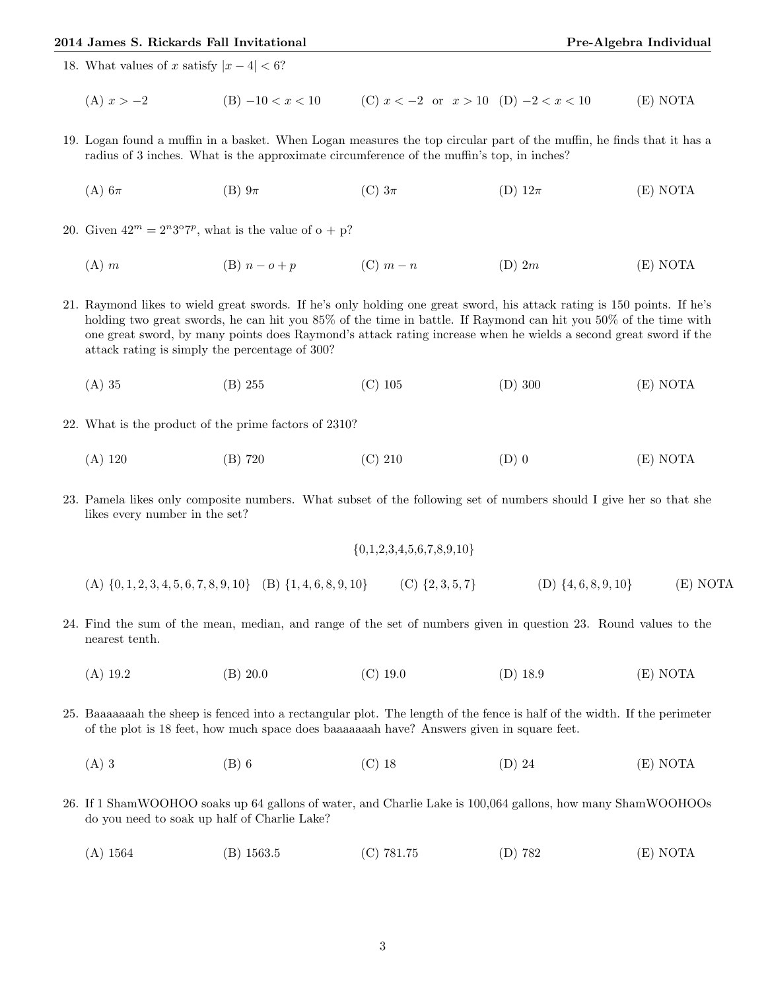## 2014 James S. Rickards Fall Invitational **Pre-Algebra Individual** Pre-Algebra Individual

18. What values of x satisfy  $|x-4| < 6$ ?

(A)  $x > -2$  (B)  $-10 < x < 10$  (C)  $x < -2$  or  $x > 10$  (D)  $-2 < x < 10$  (E) NOTA

- 19. Logan found a muffin in a basket. When Logan measures the top circular part of the muffin, he finds that it has a radius of 3 inches. What is the approximate circumference of the muffin's top, in inches?
	- (A)  $6\pi$  (B)  $9\pi$  (C)  $3\pi$  (D)  $12\pi$  (E) NOTA

20. Given  $42^m = 2^n 3^{\circ} 7^p$ , what is the value of  $\circ + p$ ?

- (A) m (B)  $n o + p$  (C)  $m n$  (D) 2m (E) NOTA
- 21. Raymond likes to wield great swords. If he's only holding one great sword, his attack rating is 150 points. If he's holding two great swords, he can hit you  $85\%$  of the time in battle. If Raymond can hit you  $50\%$  of the time with one great sword, by many points does Raymond's attack rating increase when he wields a second great sword if the attack rating is simply the percentage of 300?
	- (A) 35 (B) 255 (C) 105 (D) 300 (E) NOTA
- 22. What is the product of the prime factors of 2310?
	- (A) 120 (B) 720 (C) 210 (D) 0 (E) NOTA
- 23. Pamela likes only composite numbers. What subset of the following set of numbers should I give her so that she likes every number in the set?

 $\{0,1,2,3,4,5,6,7,8,9,10\}$ 

(A) {0, 1, 2, 3, 4, 5, 6, 7, 8, 9, 10} (B) {1, 4, 6, 8, 9, 10} (C) {2, 3, 5, 7} (D) {4, 6, 8, 9, 10} (E) NOTA

- 24. Find the sum of the mean, median, and range of the set of numbers given in question 23. Round values to the nearest tenth.
	- (A) 19.2 (B) 20.0 (C) 19.0 (D) 18.9 (E) NOTA
- 25. Baaaaaaah the sheep is fenced into a rectangular plot. The length of the fence is half of the width. If the perimeter of the plot is 18 feet, how much space does baaaaaaah have? Answers given in square feet.
	- (A) 3 (B) 6 (C) 18 (D) 24 (E) NOTA
- 26. If 1 ShamWOOHOO soaks up 64 gallons of water, and Charlie Lake is 100,064 gallons, how many ShamWOOHOOs do you need to soak up half of Charlie Lake?
	- (A) 1564 (B) 1563.5 (C) 781.75 (D) 782 (E) NOTA